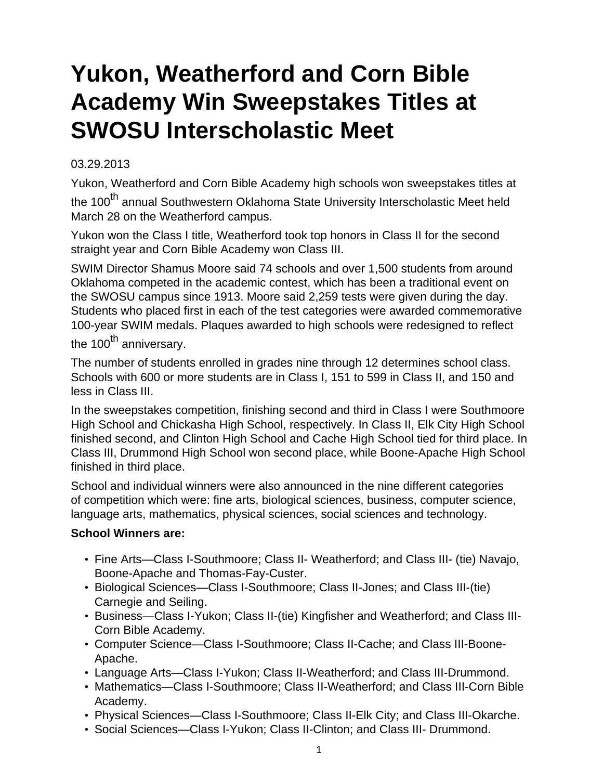## <span id="page-0-0"></span>**Yukon, Weatherford and Corn Bible Academy Win Sweepstakes Titles at SWOSU Interscholastic Meet**

## 03.29.2013

Yukon, Weatherford and Corn Bible Academy high schools won sweepstakes titles at the 100<sup>th</sup> annual Southwestern Oklahoma State University Interscholastic Meet held March 28 on the Weatherford campus.

Yukon won the Class I title, Weatherford took top honors in Class II for the second straight year and Corn Bible Academy won Class III.

SWIM Director Shamus Moore said 74 schools and over 1,500 students from around Oklahoma competed in the academic contest, which has been a traditional event on the SWOSU campus since 1913. Moore said 2,259 tests were given during the day. Students who placed first in each of the test categories were awarded commemorative 100-year SWIM medals. Plaques awarded to high schools were redesigned to reflect the  $100<sup>th</sup>$  anniversary.

The number of students enrolled in grades nine through 12 determines school class. Schools with 600 or more students are in Class I, 151 to 599 in Class II, and 150 and less in Class III.

In the sweepstakes competition, finishing second and third in Class I were Southmoore High School and Chickasha High School, respectively. In Class II, Elk City High School finished second, and Clinton High School and Cache High School tied for third place. In Class III, Drummond High School won second place, while Boone-Apache High School finished in third place.

School and individual winners were also announced in the nine different categories of competition which were: fine arts, biological sciences, business, computer science, language arts, mathematics, physical sciences, social sciences and technology.

## **School Winners are:**

- Fine Arts—Class I-Southmoore; Class II- Weatherford; and Class III- (tie) Navajo, Boone-Apache and Thomas-Fay-Custer.
- Biological Sciences—Class I-Southmoore; Class II-Jones; and Class III-(tie) Carnegie and Seiling.
- Business—Class I-Yukon; Class II-(tie) Kingfisher and Weatherford; and Class III-Corn Bible Academy.
- Computer Science—Class I-Southmoore; Class II-Cache; and Class III-Boone-Apache.
- Language Arts—Class I-Yukon; Class II-Weatherford; and Class III-Drummond.
- Mathematics—Class I-Southmoore; Class II-Weatherford; and Class III-Corn Bible Academy.
- Physical Sciences—Class I-Southmoore; Class II-Elk City; and Class III-Okarche.
- Social Sciences—Class I-Yukon; Class II-Clinton; and Class III- Drummond.